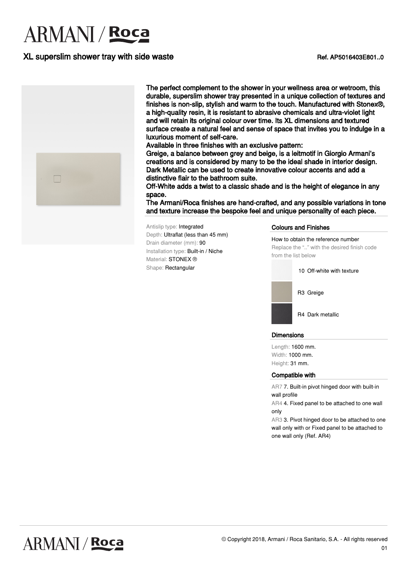# **ARMANI** / Roca

## XL superslim shower tray with side waste Network Changes and Ref. AP5016403E801..0



The perfect complement to the shower in your wellness area or wetroom, this durable, superslim shower tray presented in a unique collection of textures and finishes is non-slip, stylish and warm to the touch. Manufactured with Stonex®, a high-quality resin, it is resistant to abrasive chemicals and ultra-violet light and will retain its original colour over time. Its XL dimensions and textured surface create a natural feel and sense of space that invites you to indulge in a luxurious moment of self-care.

Available in three finishes with an exclusive pattern:

Greige, a balance between grey and beige, is a leitmotif in Giorgio Armani's creations and is considered by many to be the ideal shade in interior design. Dark Metallic can be used to create innovative colour accents and add a distinctive flair to the bathroom suite.

Off-White adds a twist to a classic shade and is the height of elegance in any space.

The Armani/Roca finishes are hand-crafted, and any possible variations in tone and texture increase the bespoke feel and unique personality of each piece.

Antislip type: Integrated Depth: Ultraflat (less than 45 mm) Drain diameter (mm): 90 Installation type: Built-in / Niche Material: **STONEX** ® Shape: Rectangular

#### Colours and Finishes

How to obtain the reference number Replace the ".." with the desired finish code from the list below

10 Off-white with texture



R4 Dark metallic

#### **Dimensions**

Length: 1600 mm. Width: 1000 mm. Height: 31 mm.

#### Compatible with

AR7 7. Built-in pivot hinged door with built-in wall profile

AR4 4. Fixed panel to be attached to one wall only

AR3 3. Pivot hinged door to be attached to one wall only with or Fixed panel to be attached to one wall only (Ref. AR4)

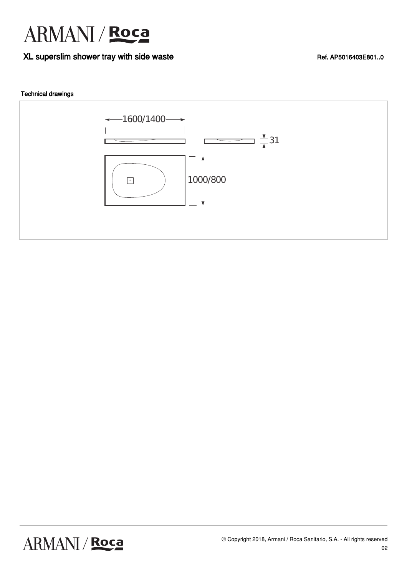

### XL superslim shower tray with side waste **Ref. AP5016403E801.0** Ref. AP5016403E801.0

### Technical drawings